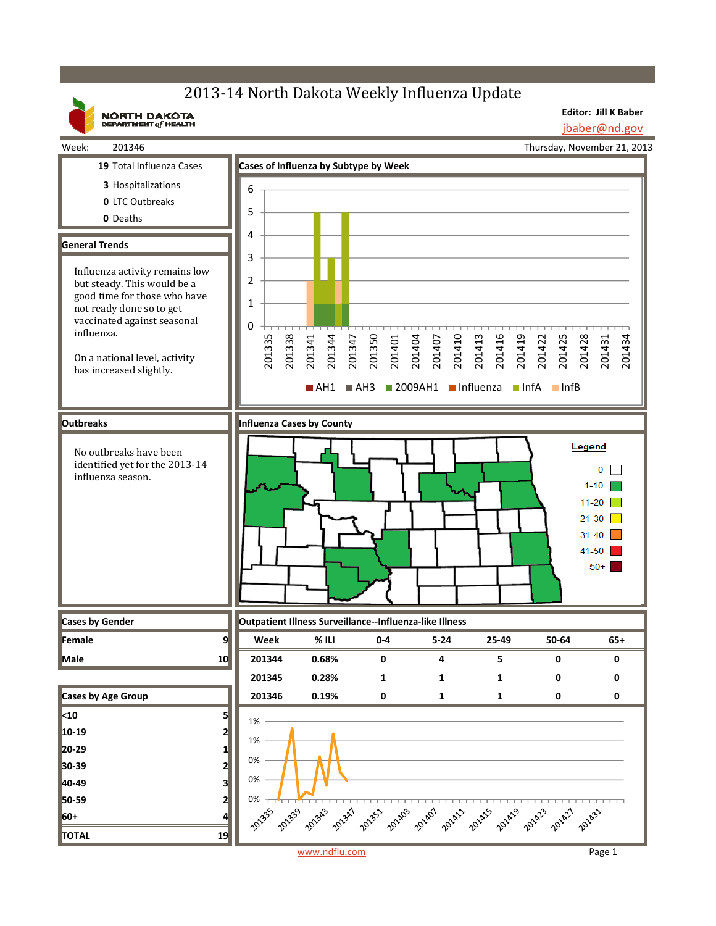## 2013-14 North Dakota Weekly Influenza Update

**Editor: Jill K Baber**